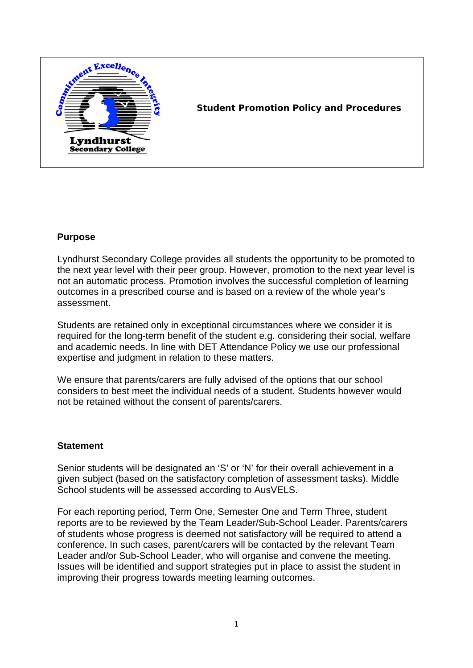

## **Student Promotion Policy and Procedures**

## **Purpose**

Lyndhurst Secondary College provides all students the opportunity to be promoted to the next year level with their peer group. However, promotion to the next year level is not an automatic process. Promotion involves the successful completion of learning outcomes in a prescribed course and is based on a review of the whole year's assessment.

Students are retained only in exceptional circumstances where we consider it is required for the long-term benefit of the student e.g. considering their social, welfare and academic needs. In line with DET Attendance Policy we use our professional expertise and judgment in relation to these matters.

We ensure that parents/carers are fully advised of the options that our school considers to best meet the individual needs of a student. Students however would not be retained without the consent of parents/carers.

## **Statement**

Senior students will be designated an 'S' or 'N' for their overall achievement in a given subject (based on the satisfactory completion of assessment tasks). Middle School students will be assessed according to AusVELS.

For each reporting period, Term One, Semester One and Term Three, student reports are to be reviewed by the Team Leader/Sub-School Leader. Parents/carers of students whose progress is deemed not satisfactory will be required to attend a conference. In such cases, parent/carers will be contacted by the relevant Team Leader and/or Sub-School Leader, who will organise and convene the meeting. Issues will be identified and support strategies put in place to assist the student in improving their progress towards meeting learning outcomes.